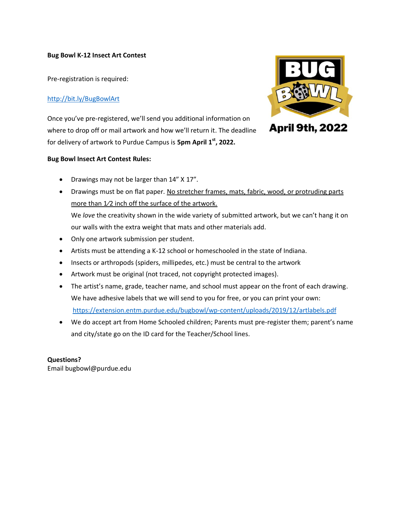## **Bug Bowl K-12 Insect Art Contest**

Pre-registration is required:

## <http://bit.ly/BugBowlArt>

Once you've pre-registered, we'll send you additional information on where to drop off or mail artwork and how we'll return it. The deadline for delivery of artwork to Purdue Campus is **5pm April 1 st, 2022.**

### **Bug Bowl Insect Art Contest Rules:**

- Drawings may not be larger than 14" X 17".
- Drawings must be on flat paper. No stretcher frames, mats, fabric, wood, or protruding parts more than 1⁄2 inch off the surface of the artwork.

We *love* the creativity shown in the wide variety of submitted artwork, but we can't hang it on our walls with the extra weight that mats and other materials add.

- Only one artwork submission per student.
- Artists must be attending a K-12 school or homeschooled in the state of Indiana.
- Insects or arthropods (spiders, millipedes, etc.) must be central to the artwork
- Artwork must be original (not traced, not copyright protected images).
- The artist's name, grade, teacher name, and school must appear on the front of each drawing. We have adhesive labels that we will send to you for free, or you can print your own: <https://extension.entm.purdue.edu/bugbowl/wp-content/uploads/2019/12/artlabels.pdf>
- We do accept art from Home Schooled children; Parents must pre-register them; parent's name and city/state go on the ID card for the Teacher/School lines.

## **Questions?**

Email bugbowl@purdue.edu



**April 9th, 2022**